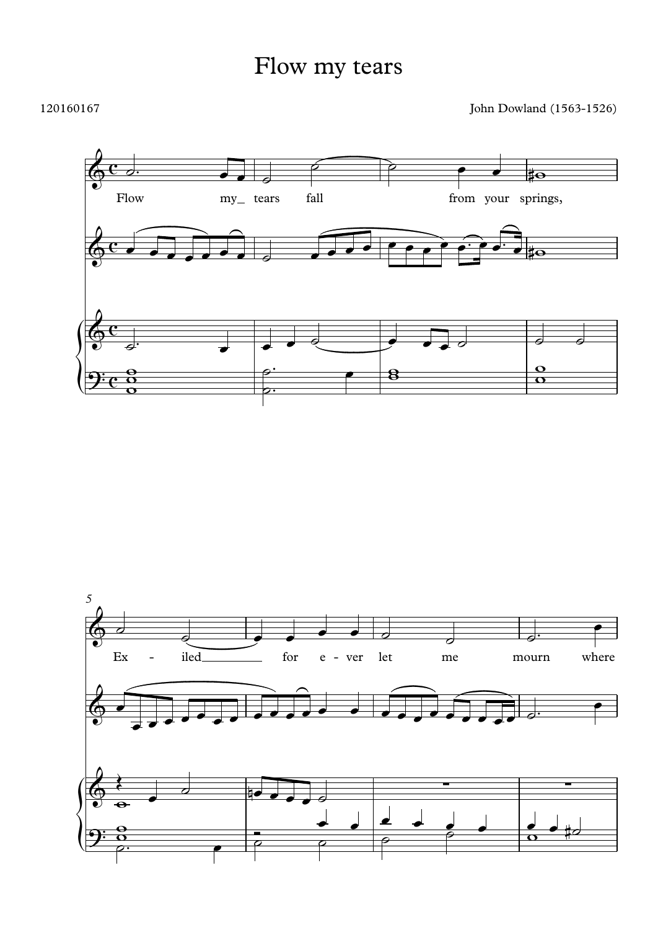## Flow my tears

## 120160167

John Dowland (1563-1526)



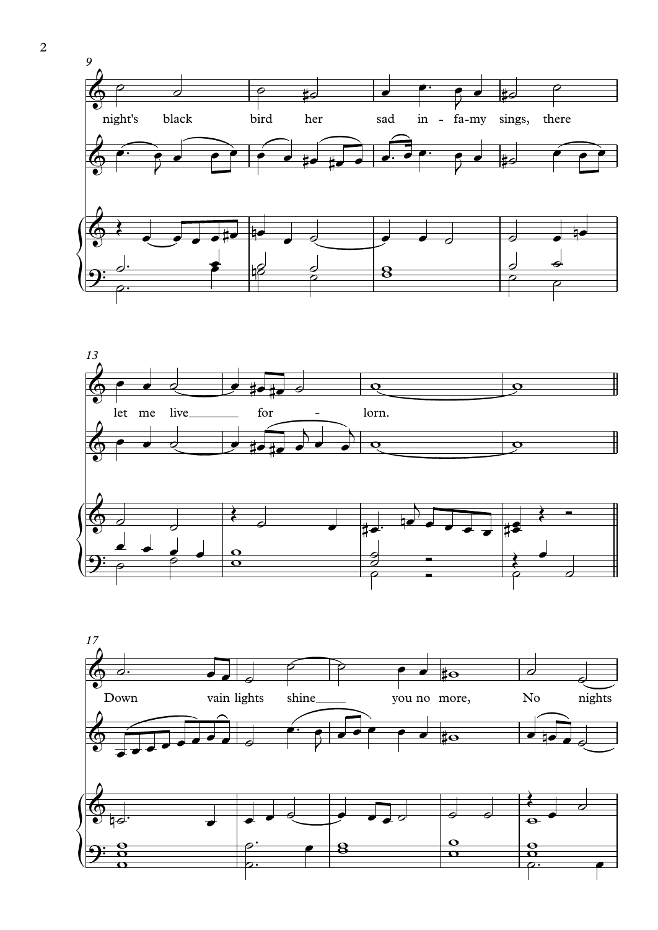



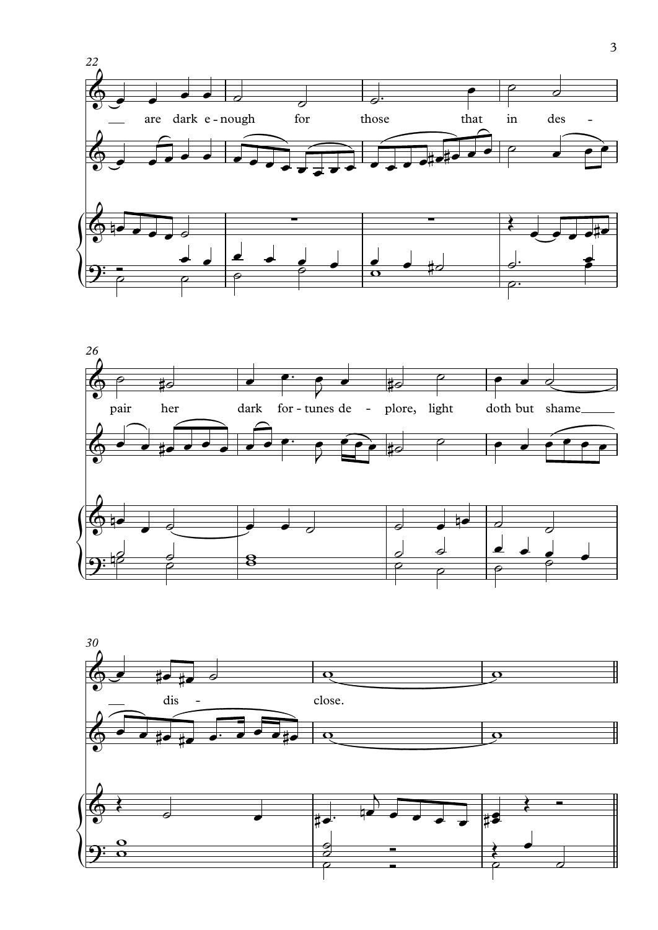



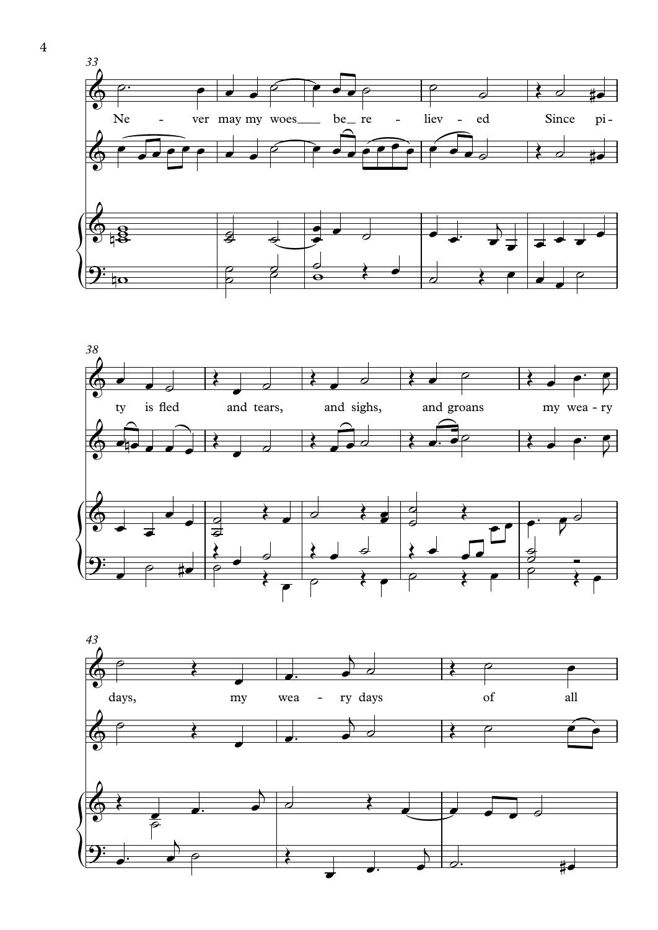



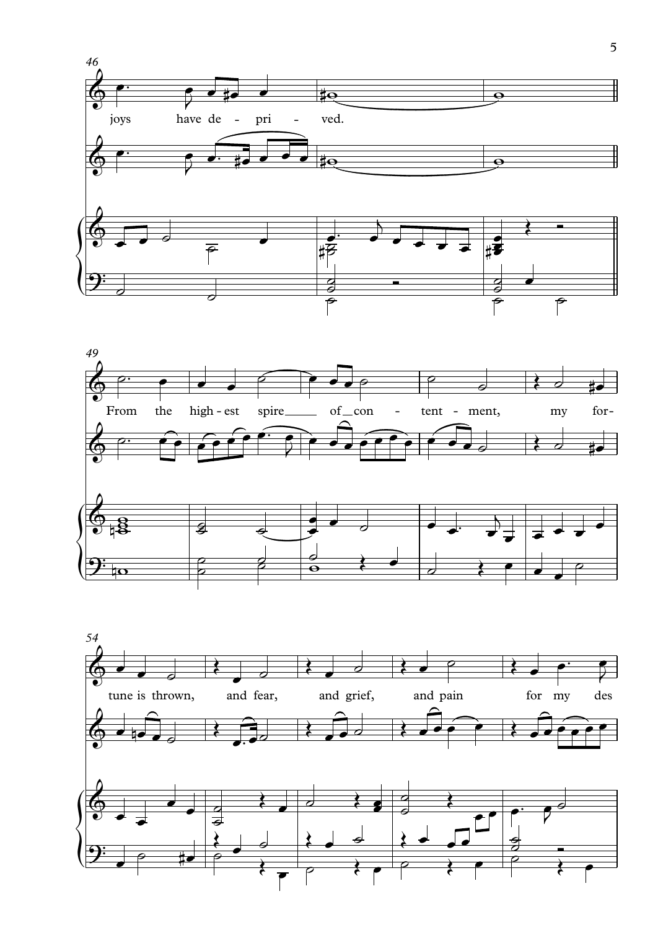



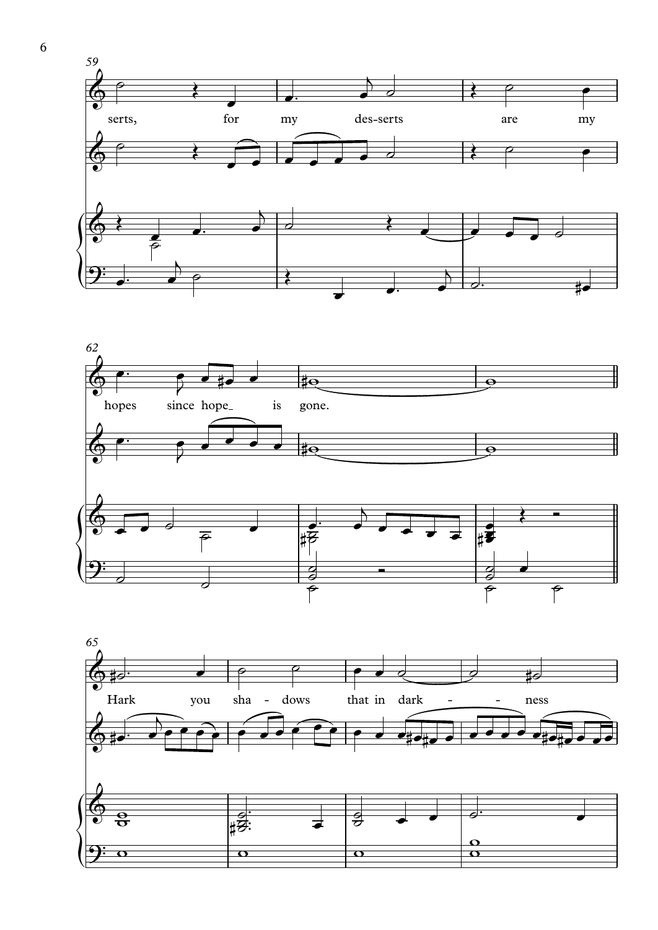



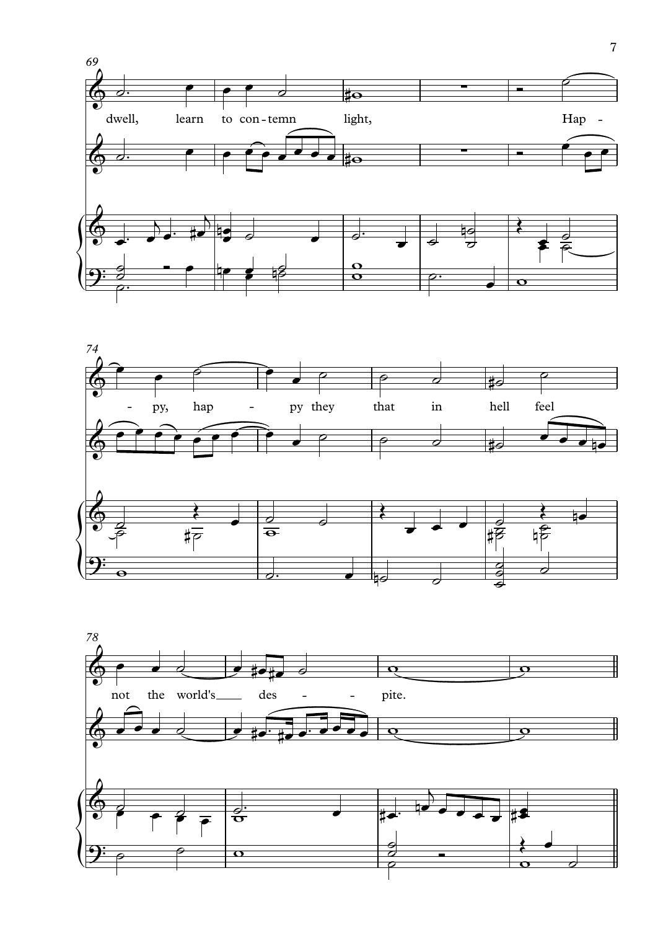



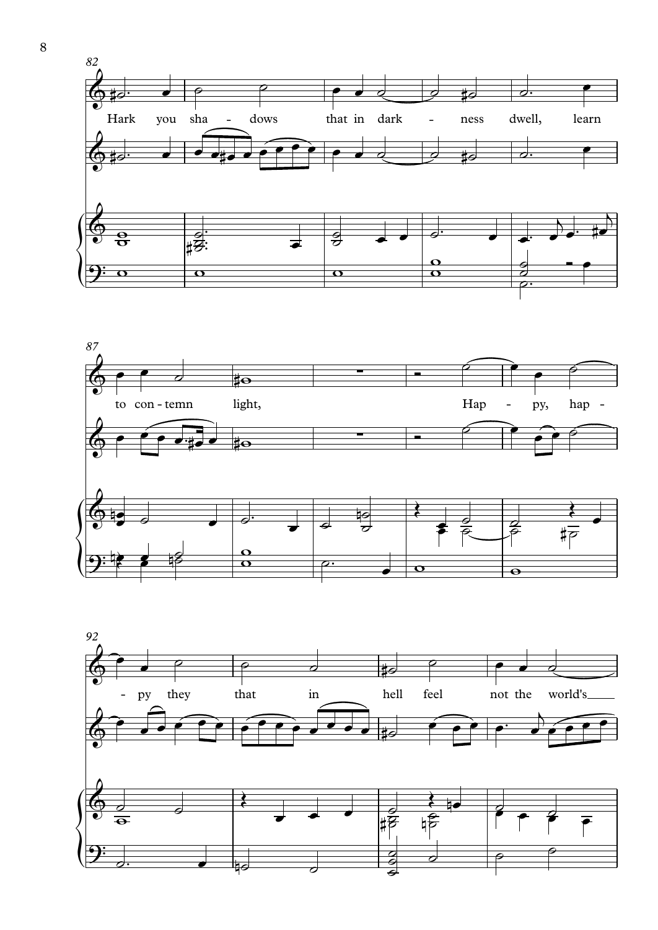